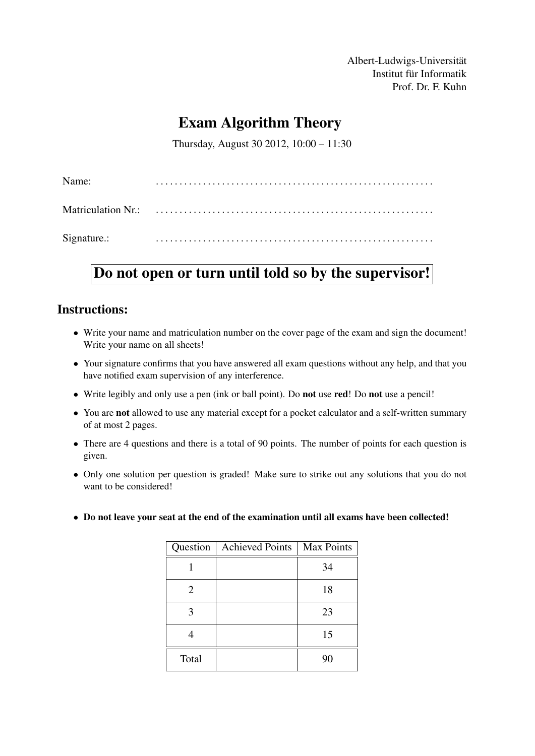Albert-Ludwigs-Universität Institut für Informatik Prof. Dr. F. Kuhn

# Exam Algorithm Theory

Thursday, August 30 2012, 10:00 – 11:30

| Name:       |  |
|-------------|--|
|             |  |
| Signature.: |  |

# Do not open or turn until told so by the supervisor!

### Instructions:

- Write your name and matriculation number on the cover page of the exam and sign the document! Write your name on all sheets!
- Your signature confirms that you have answered all exam questions without any help, and that you have notified exam supervision of any interference.
- Write legibly and only use a pen (ink or ball point). Do not use red! Do not use a pencil!
- You are not allowed to use any material except for a pocket calculator and a self-written summary of at most 2 pages.
- There are 4 questions and there is a total of 90 points. The number of points for each question is given.
- Only one solution per question is graded! Make sure to strike out any solutions that you do not want to be considered!
- Do not leave your seat at the end of the examination until all exams have been collected!

|       | Question   Achieved Points | <b>Max Points</b> |
|-------|----------------------------|-------------------|
|       |                            | 34                |
| 2     |                            | 18                |
| 3     |                            | 23                |
|       |                            | 15                |
| Total |                            | 90                |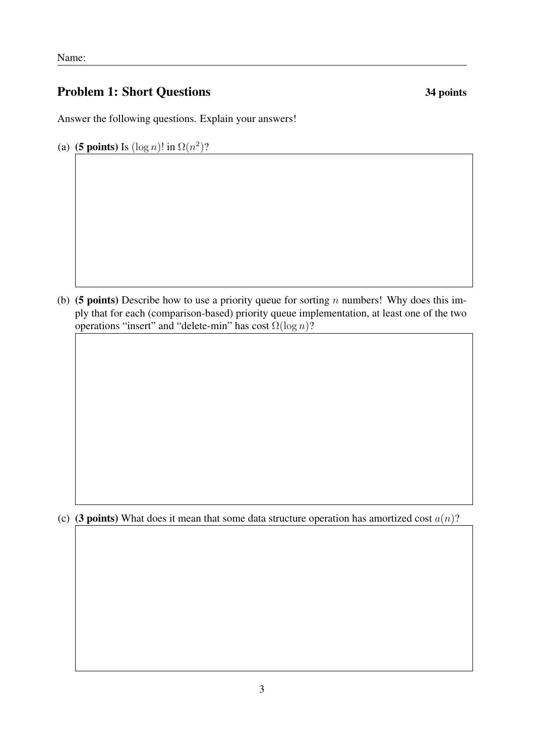# Problem 1: Short Questions 34 points

Answer the following questions. Explain your answers!

(a) (5 points) Is  $(\log n)!$  in  $\Omega(n^2)$ ?

(b) (5 points) Describe how to use a priority queue for sorting n numbers! Why does this imply that for each (comparison-based) priority queue implementation, at least one of the two operations "insert" and "delete-min" has cost  $\Omega(\log n)$ ?

(c) (3 points) What does it mean that some data structure operation has amortized cost  $a(n)$ ?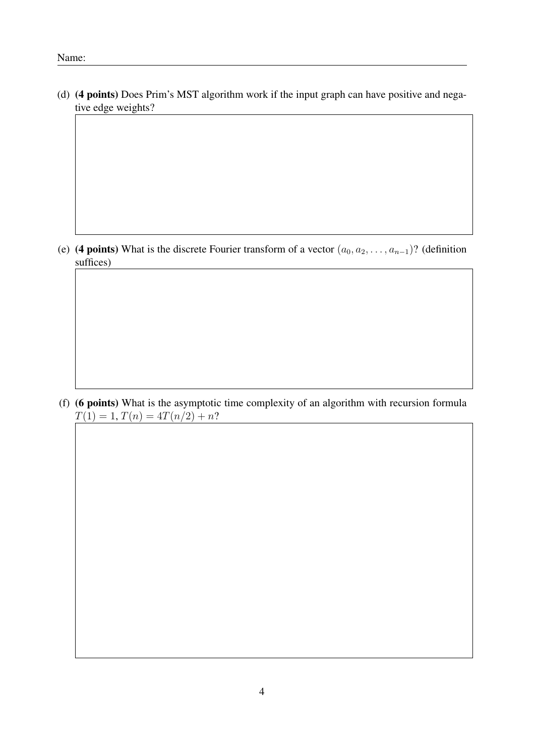(d) (4 points) Does Prim's MST algorithm work if the input graph can have positive and negative edge weights?

(e) (4 points) What is the discrete Fourier transform of a vector  $(a_0, a_2, \ldots, a_{n-1})$ ? (definition suffices)

(f) (6 points) What is the asymptotic time complexity of an algorithm with recursion formula  $T(1) = 1, T(n) = 4T(n/2) + n?$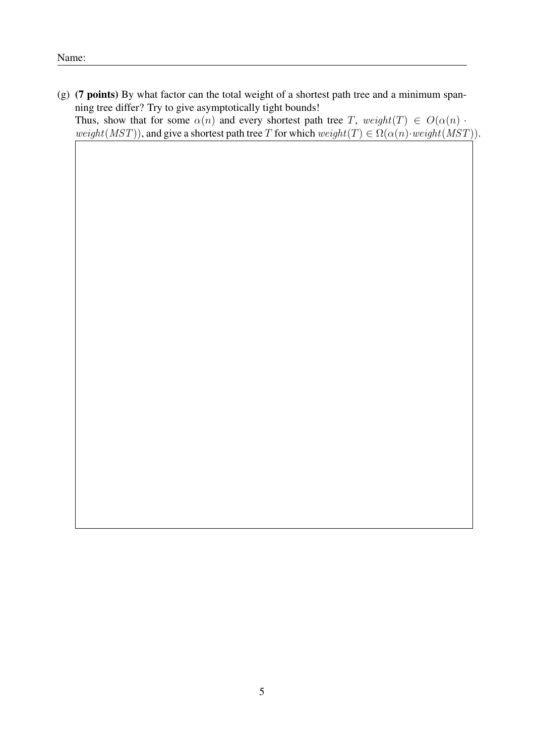(g) (7 points) By what factor can the total weight of a shortest path tree and a minimum spanning tree differ? Try to give asymptotically tight bounds! Thus, show that for some  $\alpha(n)$  and every shortest path tree T,  $weight(T) \in O(\alpha(n))$ . weight(MST)), and give a shortest path tree T for which weight(T)  $\in \Omega(\alpha(n) \cdot weight(MST))$ .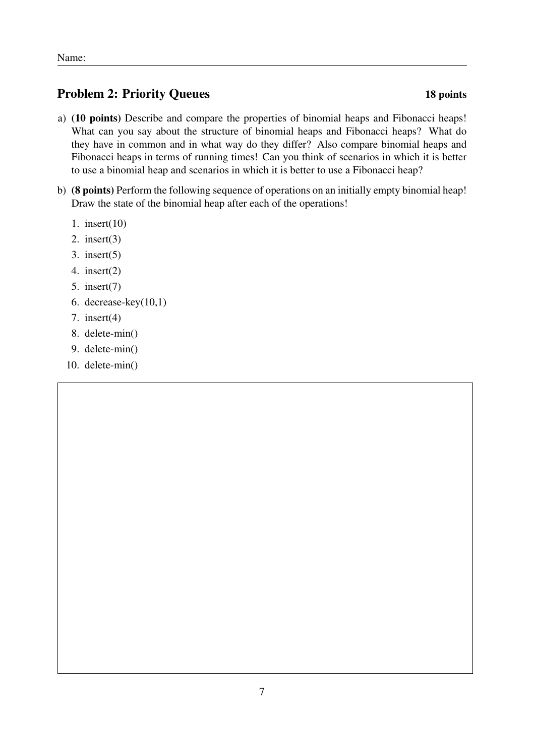# Problem 2: Priority Queues 18 points

- a) (10 points) Describe and compare the properties of binomial heaps and Fibonacci heaps! What can you say about the structure of binomial heaps and Fibonacci heaps? What do they have in common and in what way do they differ? Also compare binomial heaps and Fibonacci heaps in terms of running times! Can you think of scenarios in which it is better to use a binomial heap and scenarios in which it is better to use a Fibonacci heap?
- b) (8 points) Perform the following sequence of operations on an initially empty binomial heap! Draw the state of the binomial heap after each of the operations!
	- 1. insert(10)
	- 2. insert(3)
	- 3. insert(5)
	- 4. insert(2)
	- 5. insert(7)
	- 6. decrease-key(10,1)
	- 7. insert(4)
	- 8. delete-min()
	- 9. delete-min()
	- 10. delete-min()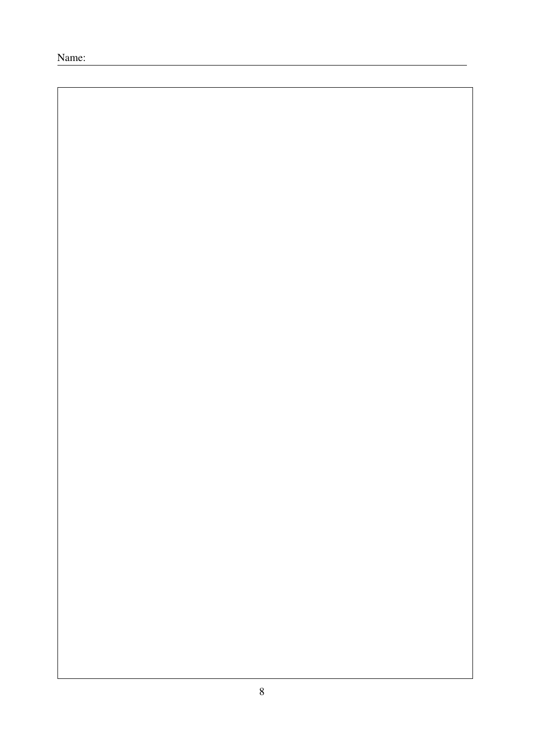Name: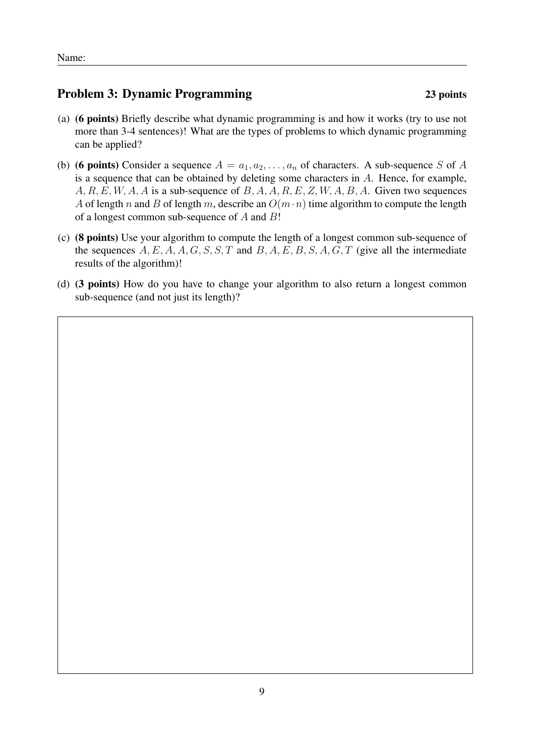# Problem 3: Dynamic Programming 23 points

- (a) (6 points) Briefly describe what dynamic programming is and how it works (try to use not more than 3-4 sentences)! What are the types of problems to which dynamic programming can be applied?
- (b) (6 points) Consider a sequence  $A = a_1, a_2, \ldots, a_n$  of characters. A sub-sequence S of A is a sequence that can be obtained by deleting some characters in  $A$ . Hence, for example,  $A, R, E, W, A, A$  is a sub-sequence of  $B, A, A, R, E, Z, W, A, B, A$ . Given two sequences A of length n and B of length m, describe an  $O(m \cdot n)$  time algorithm to compute the length of a longest common sub-sequence of  $A$  and  $B!$
- (c) (8 points) Use your algorithm to compute the length of a longest common sub-sequence of the sequences  $A, E, A, A, G, S, S, T$  and  $B, A, E, B, S, A, G, T$  (give all the intermediate results of the algorithm)!
- (d) (3 points) How do you have to change your algorithm to also return a longest common sub-sequence (and not just its length)?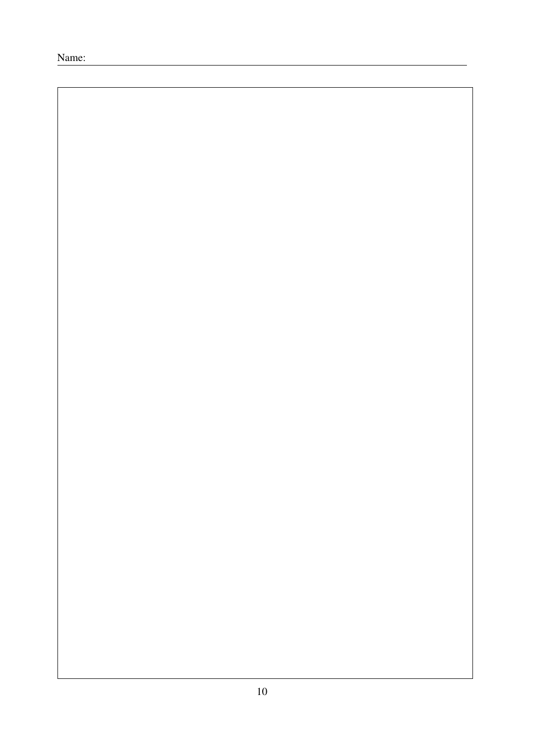Name: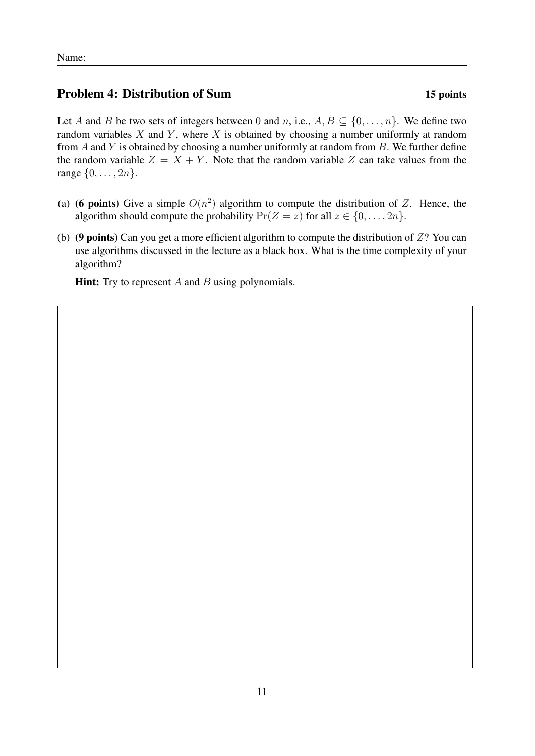## Problem 4: Distribution of Sum 15 points

Let A and B be two sets of integers between 0 and n, i.e.,  $A, B \subseteq \{0, \ldots, n\}$ . We define two random variables  $X$  and  $Y$ , where  $X$  is obtained by choosing a number uniformly at random from  $A$  and  $Y$  is obtained by choosing a number uniformly at random from  $B$ . We further define the random variable  $Z = X + Y$ . Note that the random variable Z can take values from the range  $\{0, \ldots, 2n\}$ .

- (a) (6 points) Give a simple  $O(n^2)$  algorithm to compute the distribution of Z. Hence, the algorithm should compute the probability  $Pr(Z = z)$  for all  $z \in \{0, ..., 2n\}$ .
- (b) (9 points) Can you get a more efficient algorithm to compute the distribution of  $Z$ ? You can use algorithms discussed in the lecture as a black box. What is the time complexity of your algorithm?

**Hint:** Try to represent  $A$  and  $B$  using polynomials.